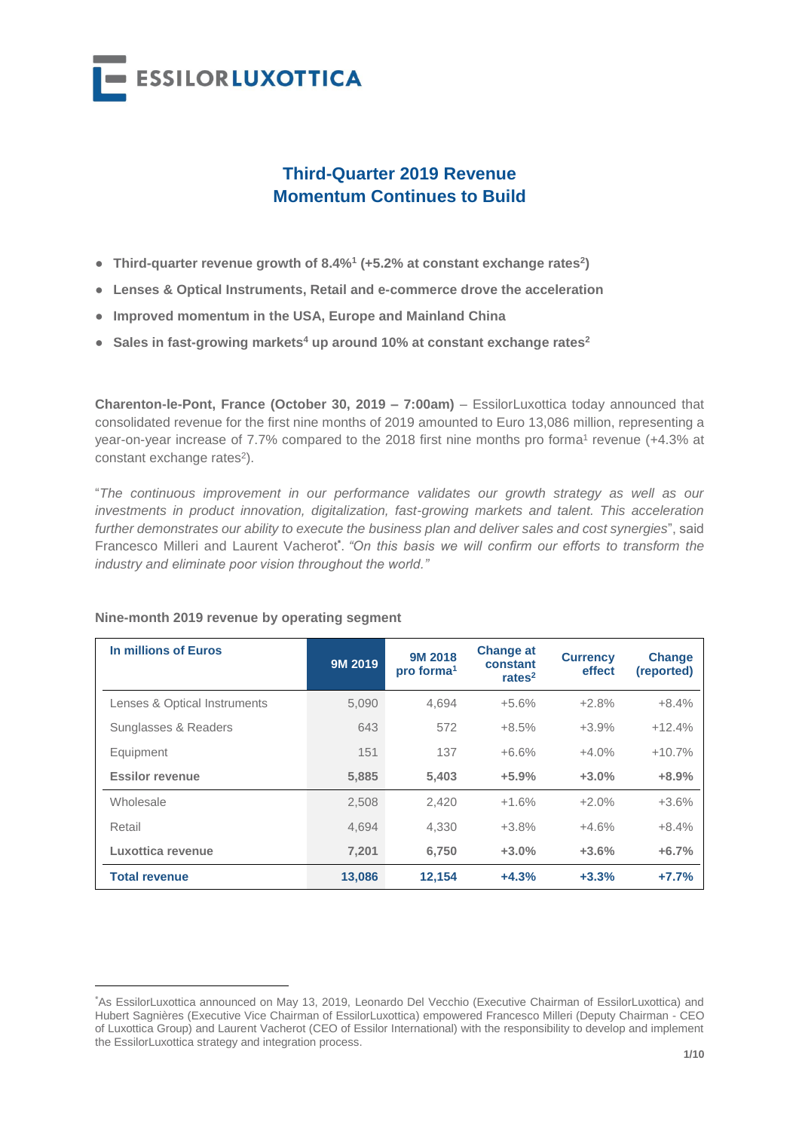

# **Third-Quarter 2019 Revenue Momentum Continues to Build**

- **Third-quarter revenue growth of 8.4%<sup>1</sup> (+5.2% at constant exchange rates<sup>2</sup> )**
- **Lenses & Optical Instruments, Retail and e-commerce drove the acceleration**
- **Improved momentum in the USA, Europe and Mainland China**
- **Sales in fast-growing markets<sup>4</sup> up around 10% at constant exchange rates<sup>2</sup>**

**Charenton-le-Pont, France (October 30, 2019 – 7:00am)** – EssilorLuxottica today announced that consolidated revenue for the first nine months of 2019 amounted to Euro 13,086 million, representing a year-on-year increase of 7.7% compared to the 2018 first nine months pro forma1 revenue (+4.3% at constant exchange rates<sup>2</sup>).

"*The continuous improvement in our performance validates our growth strategy as well as our investments in product innovation, digitalization, fast-growing markets and talent. This acceleration further demonstrates our ability to execute the business plan and deliver sales and cost synergies*", said Francesco Milleri and Laurent Vacherot **\*** . *"On this basis we will confirm our efforts to transform the industry and eliminate poor vision throughout the world."*

| In millions of Euros         | 9M 2019 | <b>9M 2018</b><br>pro forma <sup>1</sup> | <b>Change at</b><br>constant<br>rates $2$ | <b>Currency</b><br>effect | <b>Change</b><br>(reported) |
|------------------------------|---------|------------------------------------------|-------------------------------------------|---------------------------|-----------------------------|
| Lenses & Optical Instruments | 5.090   | 4.694                                    | $+5.6%$                                   | $+2.8%$                   | $+8.4%$                     |
| Sunglasses & Readers         | 643     | 572                                      | $+8.5%$                                   | $+3.9%$                   | $+12.4%$                    |
| Equipment                    | 151     | 137                                      | $+6.6%$                                   | $+4.0%$                   | $+10.7%$                    |
| <b>Essilor revenue</b>       | 5,885   | 5,403                                    | $+5.9%$                                   | $+3.0%$                   | $+8.9%$                     |
| Wholesale                    | 2.508   | 2.420                                    | $+1.6%$                                   | $+2.0%$                   | $+3.6%$                     |
| Retail                       | 4,694   | 4,330                                    | $+3.8%$                                   | $+4.6%$                   | $+8.4%$                     |
| Luxottica revenue            | 7.201   | 6.750                                    | $+3.0%$                                   | $+3.6%$                   | $+6.7%$                     |
| <b>Total revenue</b>         | 13.086  | 12.154                                   | $+4.3%$                                   | $+3.3%$                   | $+7.7%$                     |

### **Nine-month 2019 revenue by operating segment**

 $\overline{a}$ 

<sup>\*</sup>As EssilorLuxottica announced on May 13, 2019, Leonardo Del Vecchio (Executive Chairman of EssilorLuxottica) and Hubert Sagnières (Executive Vice Chairman of EssilorLuxottica) empowered Francesco Milleri (Deputy Chairman - CEO of Luxottica Group) and Laurent Vacherot (CEO of Essilor International) with the responsibility to develop and implement the EssilorLuxottica strategy and integration process.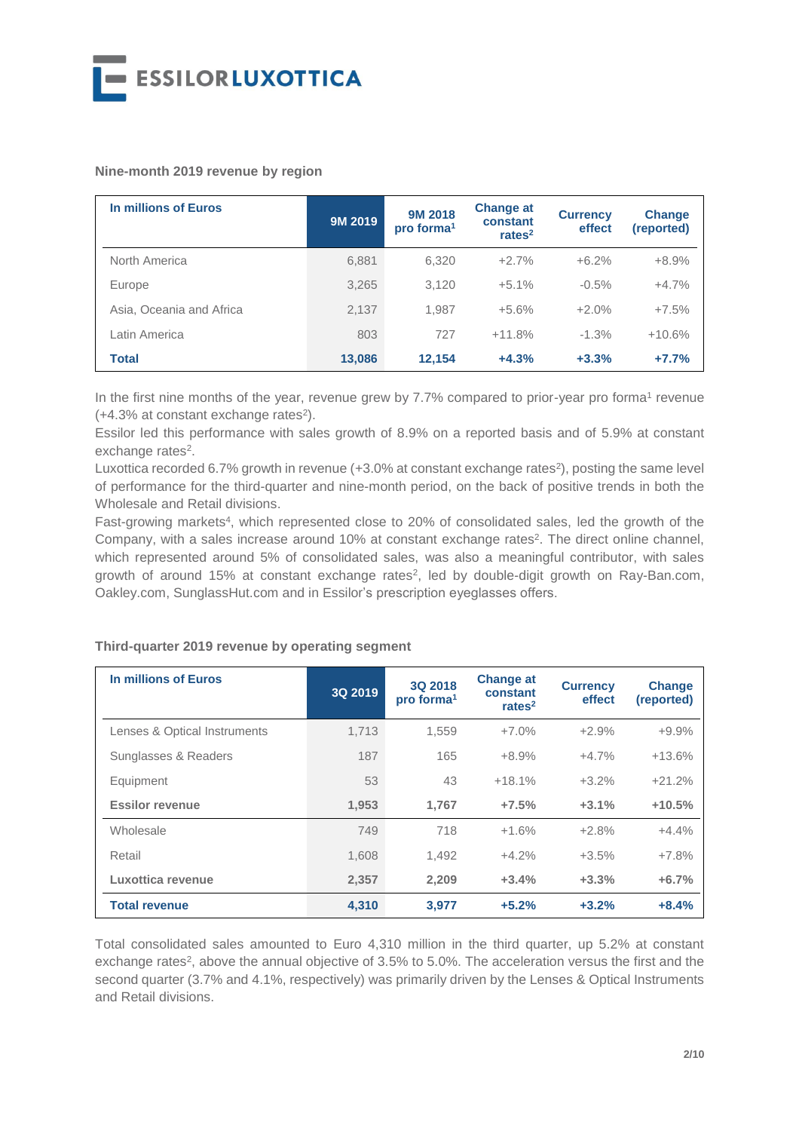

#### **Nine-month 2019 revenue by region**

| In millions of Euros     | 9M 2019 | 9M 2018<br>pro forma <sup>1</sup> | <b>Change at</b><br>constant<br>rates $2$ | <b>Currency</b><br>effect | <b>Change</b><br>(reported) |
|--------------------------|---------|-----------------------------------|-------------------------------------------|---------------------------|-----------------------------|
| North America            | 6,881   | 6,320                             | $+2.7%$                                   | $+6.2%$                   | $+8.9%$                     |
| Europe                   | 3.265   | 3.120                             | $+5.1%$                                   | $-0.5%$                   | $+4.7%$                     |
| Asia, Oceania and Africa | 2.137   | 1.987                             | $+5.6%$                                   | $+2.0%$                   | $+7.5%$                     |
| Latin America            | 803     | 727                               | $+11.8%$                                  | $-1.3%$                   | $+10.6%$                    |
| <b>Total</b>             | 13,086  | 12.154                            | $+4.3%$                                   | $+3.3%$                   | $+7.7%$                     |

In the first nine months of the year, revenue grew by 7.7% compared to prior-year pro forma<sup>1</sup> revenue  $(+4.3\%$  at constant exchange rates<sup>2</sup>).

Essilor led this performance with sales growth of 8.9% on a reported basis and of 5.9% at constant exchange rates<sup>2</sup>.

Luxottica recorded 6.7% growth in revenue (+3.0% at constant exchange rates<sup>2</sup>), posting the same level of performance for the third-quarter and nine-month period, on the back of positive trends in both the Wholesale and Retail divisions.

Fast-growing markets<sup>4</sup>, which represented close to 20% of consolidated sales, led the growth of the Company, with a sales increase around 10% at constant exchange rates<sup>2</sup>. The direct online channel, which represented around 5% of consolidated sales, was also a meaningful contributor, with sales growth of around 15% at constant exchange rates<sup>2</sup>, led by double-digit growth on Ray-Ban.com, Oakley.com, SunglassHut.com and in Essilor's prescription eyeglasses offers.

### **Third-quarter 2019 revenue by operating segment**

| In millions of Euros         | 3Q 2019 | 3Q 2018<br>pro forma <sup>1</sup> | <b>Change at</b><br>constant<br>rates $2$ | <b>Currency</b><br>effect | <b>Change</b><br>(reported) |
|------------------------------|---------|-----------------------------------|-------------------------------------------|---------------------------|-----------------------------|
| Lenses & Optical Instruments | 1.713   | 1.559                             | $+7.0%$                                   | $+2.9%$                   | $+9.9%$                     |
| Sunglasses & Readers         | 187     | 165                               | $+8.9%$                                   | $+4.7%$                   | $+13.6%$                    |
| Equipment                    | 53      | 43                                | $+18.1%$                                  | $+3.2%$                   | $+21.2%$                    |
| <b>Essilor revenue</b>       | 1,953   | 1,767                             | $+7.5%$                                   | $+3.1%$                   | $+10.5%$                    |
| Wholesale                    | 749     | 718                               | $+1.6%$                                   | $+2.8%$                   | $+4.4%$                     |
| Retail                       | 1,608   | 1,492                             | $+4.2%$                                   | $+3.5%$                   | $+7.8%$                     |
| Luxottica revenue            | 2,357   | 2,209                             | $+3.4%$                                   | $+3.3%$                   | $+6.7%$                     |
| <b>Total revenue</b>         | 4,310   | 3,977                             | $+5.2%$                                   | $+3.2%$                   | $+8.4%$                     |

Total consolidated sales amounted to Euro 4,310 million in the third quarter, up 5.2% at constant exchange rates<sup>2</sup>, above the annual objective of 3.5% to 5.0%. The acceleration versus the first and the second quarter (3.7% and 4.1%, respectively) was primarily driven by the Lenses & Optical Instruments and Retail divisions.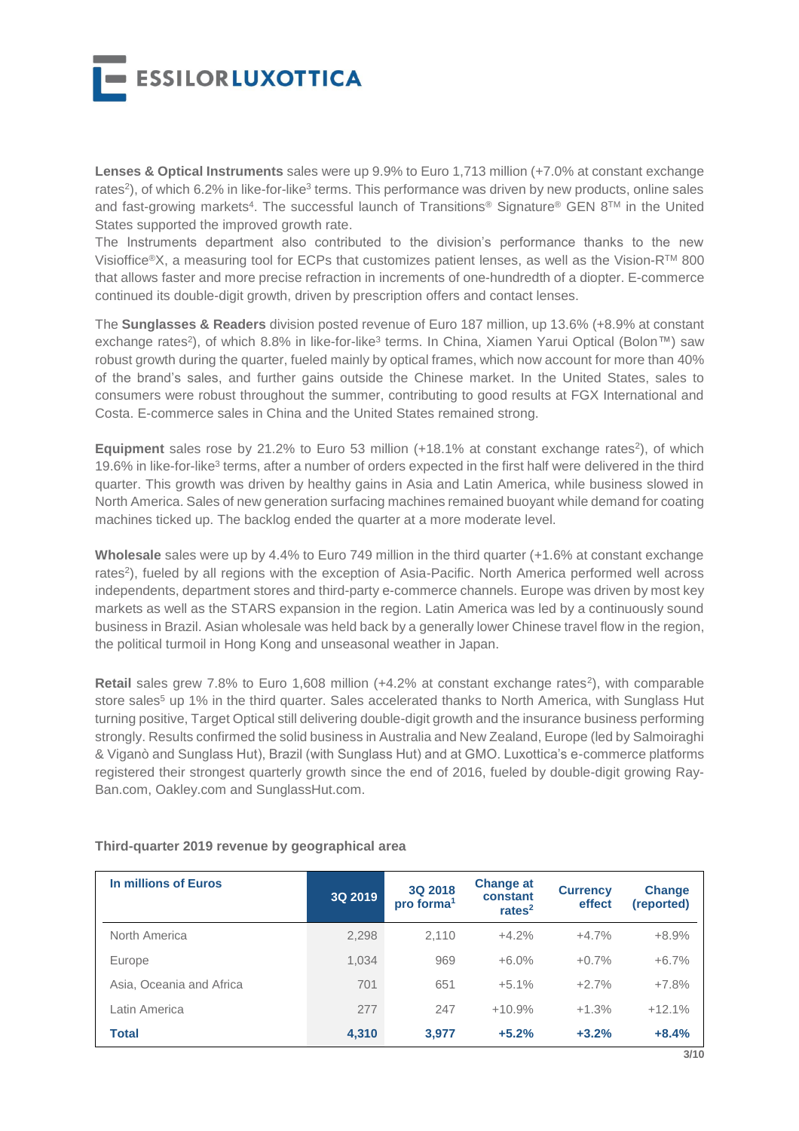

**Lenses & Optical Instruments** sales were up 9.9% to Euro 1,713 million (+7.0% at constant exchange rates<sup>2</sup>), of which 6.2% in like-for-like<sup>3</sup> terms. This performance was driven by new products, online sales and fast-growing markets<sup>4</sup>. The successful launch of Transitions® Signature® GEN 8™ in the United States supported the improved growth rate.

The Instruments department also contributed to the division's performance thanks to the new Visioffice®X, a measuring tool for ECPs that customizes patient lenses, as well as the Vision-RTM 800 that allows faster and more precise refraction in increments of one-hundredth of a diopter. E-commerce continued its double-digit growth, driven by prescription offers and contact lenses.

The **Sunglasses & Readers** division posted revenue of Euro 187 million, up 13.6% (+8.9% at constant exchange rates<sup>2</sup>), of which 8.8% in like-for-like<sup>3</sup> terms. In China, Xiamen Yarui Optical (Bolon™) saw robust growth during the quarter, fueled mainly by optical frames, which now account for more than 40% of the brand's sales, and further gains outside the Chinese market. In the United States, sales to consumers were robust throughout the summer, contributing to good results at FGX International and Costa. E-commerce sales in China and the United States remained strong.

**Equipment** sales rose by 21.2% to Euro 53 million (+18.1% at constant exchange rates<sup>2</sup>), of which 19.6% in like-for-like<sup>3</sup> terms, after a number of orders expected in the first half were delivered in the third quarter. This growth was driven by healthy gains in Asia and Latin America, while business slowed in North America. Sales of new generation surfacing machines remained buoyant while demand for coating machines ticked up. The backlog ended the quarter at a more moderate level.

**Wholesale** sales were up by 4.4% to Euro 749 million in the third quarter (+1.6% at constant exchange rates<sup>2</sup>), fueled by all regions with the exception of Asia-Pacific. North America performed well across independents, department stores and third-party e-commerce channels. Europe was driven by most key markets as well as the STARS expansion in the region. Latin America was led by a continuously sound business in Brazil. Asian wholesale was held back by a generally lower Chinese travel flow in the region, the political turmoil in Hong Kong and unseasonal weather in Japan.

**Retail** sales grew 7.8% to Euro 1,608 million (+4.2% at constant exchange rates<sup>2</sup>), with comparable store sales<sup>5</sup> up 1% in the third quarter. Sales accelerated thanks to North America, with Sunglass Hut turning positive, Target Optical still delivering double-digit growth and the insurance business performing strongly. Results confirmed the solid business in Australia and New Zealand, Europe (led by Salmoiraghi & Viganò and Sunglass Hut), Brazil (with Sunglass Hut) and at GMO. Luxottica's e-commerce platforms registered their strongest quarterly growth since the end of 2016, fueled by double-digit growing Ray-Ban.com, Oakley.com and SunglassHut.com.

| In millions of Euros     | 3Q 2019 | 3Q 2018<br>pro forma <sup>1</sup> | <b>Change at</b><br>constant<br>rates $2$ | <b>Currency</b><br>effect | <b>Change</b><br>(reported) |
|--------------------------|---------|-----------------------------------|-------------------------------------------|---------------------------|-----------------------------|
| North America            | 2,298   | 2.110                             | $+4.2%$                                   | $+4.7%$                   | $+8.9%$                     |
| Europe                   | 1.034   | 969                               | $+6.0%$                                   | $+0.7%$                   | $+6.7\%$                    |
| Asia, Oceania and Africa | 701     | 651                               | $+5.1%$                                   | $+2.7%$                   | $+7.8%$                     |
| Latin America            | 277     | 247                               | $+10.9%$                                  | $+1.3%$                   | $+12.1%$                    |
| <b>Total</b>             | 4,310   | 3.977                             | $+5.2%$                                   | $+3.2%$                   | $+8.4%$                     |

### **Third-quarter 2019 revenue by geographical area**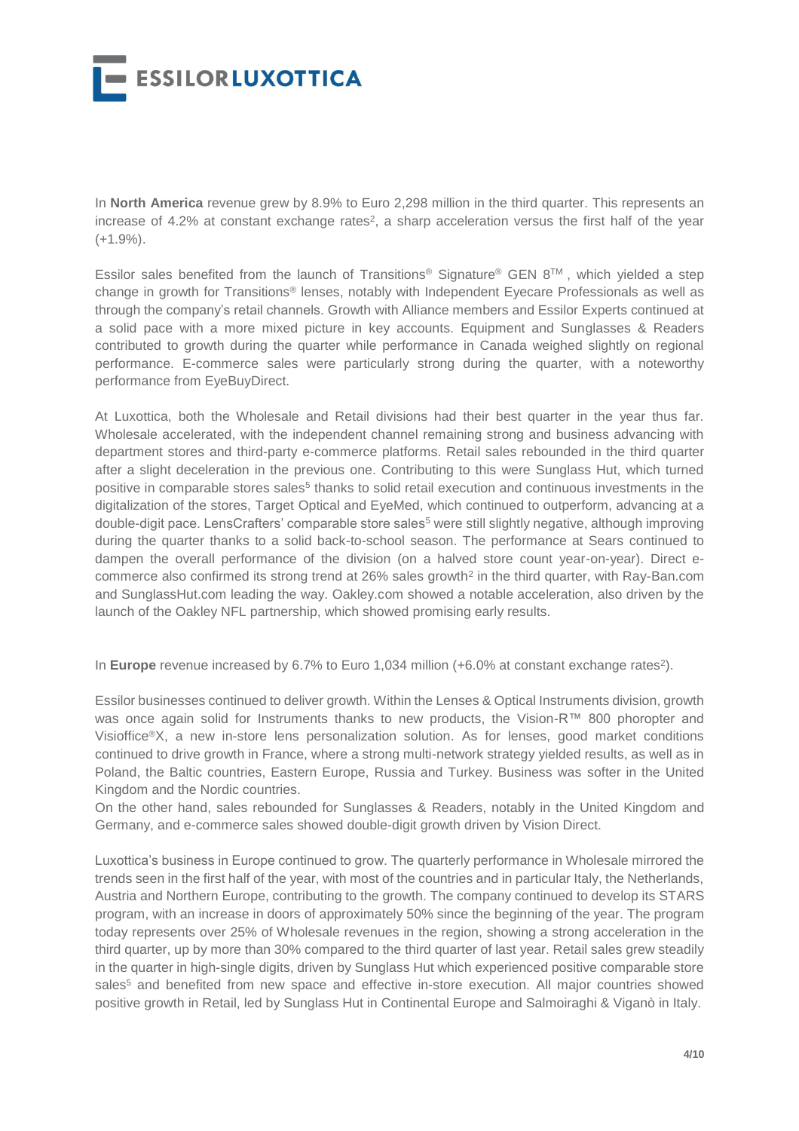

In **North America** revenue grew by 8.9% to Euro 2,298 million in the third quarter. This represents an increase of 4.2% at constant exchange rates<sup>2</sup>, a sharp acceleration versus the first half of the year  $(+1.9\%)$ .

Essilor sales benefited from the launch of Transitions<sup>®</sup> Signature<sup>®</sup> GEN 8<sup>TM</sup>, which yielded a step change in growth for Transitions® lenses, notably with Independent Eyecare Professionals as well as through the company's retail channels. Growth with Alliance members and Essilor Experts continued at a solid pace with a more mixed picture in key accounts. Equipment and Sunglasses & Readers contributed to growth during the quarter while performance in Canada weighed slightly on regional performance. E-commerce sales were particularly strong during the quarter, with a noteworthy performance from EyeBuyDirect.

At Luxottica, both the Wholesale and Retail divisions had their best quarter in the year thus far. Wholesale accelerated, with the independent channel remaining strong and business advancing with department stores and third-party e-commerce platforms. Retail sales rebounded in the third quarter after a slight deceleration in the previous one. Contributing to this were Sunglass Hut, which turned positive in comparable stores sales<sup>5</sup> thanks to solid retail execution and continuous investments in the digitalization of the stores, Target Optical and EyeMed, which continued to outperform, advancing at a double-digit pace. LensCrafters' comparable store sales<sup>5</sup> were still slightly negative, although improving during the quarter thanks to a solid back-to-school season. The performance at Sears continued to dampen the overall performance of the division (on a halved store count year-on-year). Direct ecommerce also confirmed its strong trend at 26% sales growth<sup>2</sup> in the third quarter, with Ray-Ban.com and SunglassHut.com leading the way. Oakley.com showed a notable acceleration, also driven by the launch of the Oakley NFL partnership, which showed promising early results.

In **Europe** revenue increased by 6.7% to Euro 1,034 million (+6.0% at constant exchange rates<sup>2</sup>).

Essilor businesses continued to deliver growth. Within the Lenses & Optical Instruments division, growth was once again solid for Instruments thanks to new products, the Vision-R™ 800 phoropter and Visioffice®X, a new in-store lens personalization solution. As for lenses, good market conditions continued to drive growth in France, where a strong multi-network strategy yielded results, as well as in Poland, the Baltic countries, Eastern Europe, Russia and Turkey. Business was softer in the United Kingdom and the Nordic countries.

On the other hand, sales rebounded for Sunglasses & Readers, notably in the United Kingdom and Germany, and e-commerce sales showed double-digit growth driven by Vision Direct.

Luxottica's business in Europe continued to grow. The quarterly performance in Wholesale mirrored the trends seen in the first half of the year, with most of the countries and in particular Italy, the Netherlands, Austria and Northern Europe, contributing to the growth. The company continued to develop its STARS program, with an increase in doors of approximately 50% since the beginning of the year. The program today represents over 25% of Wholesale revenues in the region, showing a strong acceleration in the third quarter, up by more than 30% compared to the third quarter of last year. Retail sales grew steadily in the quarter in high-single digits, driven by Sunglass Hut which experienced positive comparable store sales<sup>5</sup> and benefited from new space and effective in-store execution. All major countries showed positive growth in Retail, led by Sunglass Hut in Continental Europe and Salmoiraghi & Viganò in Italy.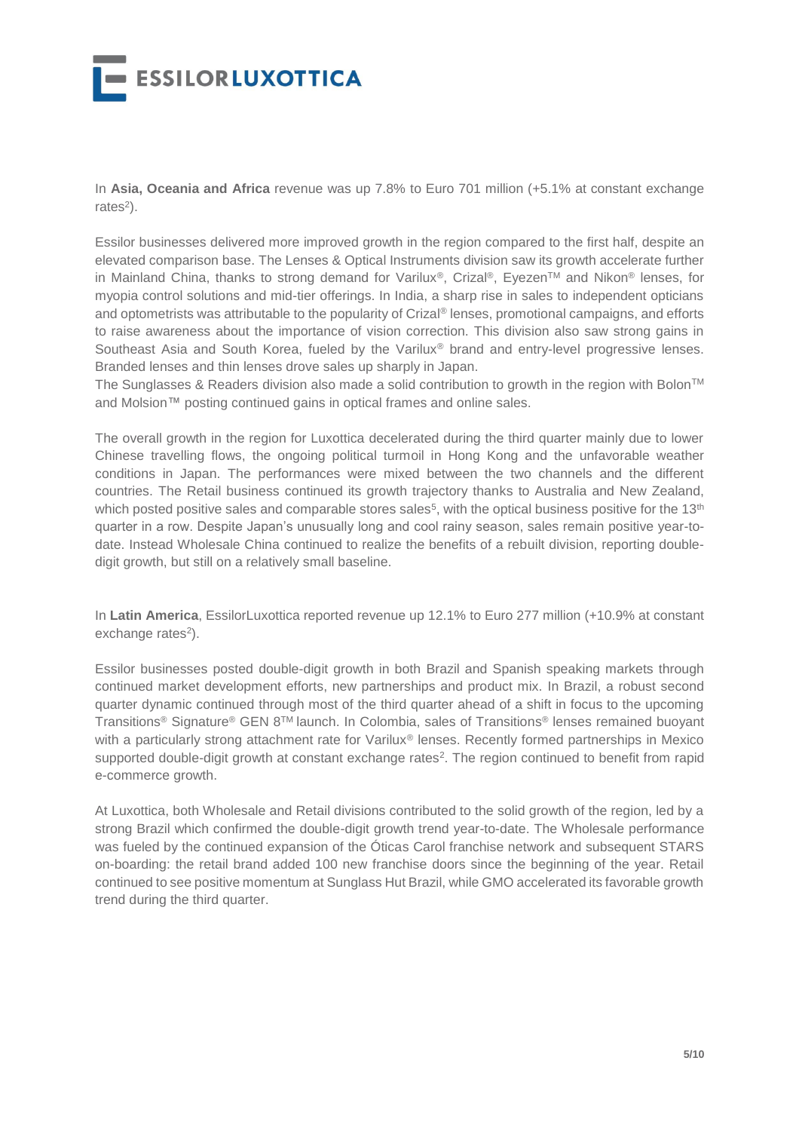

In **Asia, Oceania and Africa** revenue was up 7.8% to Euro 701 million (+5.1% at constant exchange rates<sup>2</sup>).

Essilor businesses delivered more improved growth in the region compared to the first half, despite an elevated comparison base. The Lenses & Optical Instruments division saw its growth accelerate further in Mainland China, thanks to strong demand for Varilux<sup>®</sup>, Crizal<sup>®</sup>, Eyezen<sup>TM</sup> and Nikon<sup>®</sup> lenses, for myopia control solutions and mid-tier offerings. In India, a sharp rise in sales to independent opticians and optometrists was attributable to the popularity of Crizal® lenses, promotional campaigns, and efforts to raise awareness about the importance of vision correction. This division also saw strong gains in Southeast Asia and South Korea, fueled by the Varilux<sup>®</sup> brand and entry-level progressive lenses. Branded lenses and thin lenses drove sales up sharply in Japan.

The Sunglasses & Readers division also made a solid contribution to growth in the region with Bolon™ and Molsion™ posting continued gains in optical frames and online sales.

The overall growth in the region for Luxottica decelerated during the third quarter mainly due to lower Chinese travelling flows, the ongoing political turmoil in Hong Kong and the unfavorable weather conditions in Japan. The performances were mixed between the two channels and the different countries. The Retail business continued its growth trajectory thanks to Australia and New Zealand, which posted positive sales and comparable stores sales<sup>5</sup>, with the optical business positive for the 13<sup>th</sup> quarter in a row. Despite Japan's unusually long and cool rainy season, sales remain positive year-todate. Instead Wholesale China continued to realize the benefits of a rebuilt division, reporting doubledigit growth, but still on a relatively small baseline.

In **Latin America**, EssilorLuxottica reported revenue up 12.1% to Euro 277 million (+10.9% at constant exchange rates<sup>2</sup>).

Essilor businesses posted double-digit growth in both Brazil and Spanish speaking markets through continued market development efforts, new partnerships and product mix. In Brazil, a robust second quarter dynamic continued through most of the third quarter ahead of a shift in focus to the upcoming Transitions® Signature® GEN 8TM launch. In Colombia, sales of Transitions ® lenses remained buoyant with a particularly strong attachment rate for Varilux® lenses. Recently formed partnerships in Mexico supported double-digit growth at constant exchange rates<sup>2</sup>. The region continued to benefit from rapid e-commerce growth.

At Luxottica, both Wholesale and Retail divisions contributed to the solid growth of the region, led by a strong Brazil which confirmed the double-digit growth trend year-to-date. The Wholesale performance was fueled by the continued expansion of the Óticas Carol franchise network and subsequent STARS on-boarding: the retail brand added 100 new franchise doors since the beginning of the year. Retail continued to see positive momentum at Sunglass Hut Brazil, while GMO accelerated its favorable growth trend during the third quarter.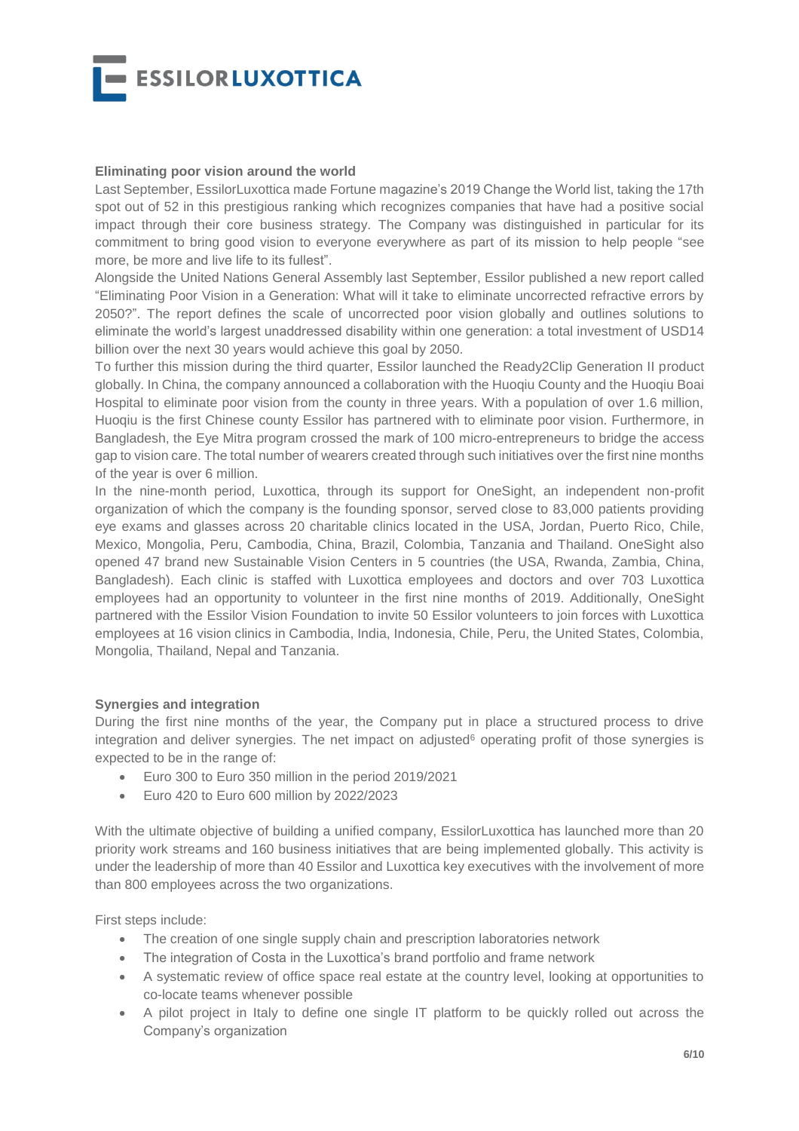

#### **Eliminating poor vision around the world**

Last September, EssilorLuxottica made Fortune magazine's 2019 Change the World [list,](https://fortune.com/change-the-world/2019) taking the 17th spot out of 52 in this prestigious ranking which recognizes companies that have had a positive social impact through their core business strategy. The Company was distinguished in particular for its commitment to bring good vision to everyone everywhere as part of its mission to help people "see more, be more and live life to its fullest".

Alongside the United Nations General Assembly last September, Essilor published a new report called ["Eliminating Poor Vision in a Generation: What will it take to eliminate uncorrected refractive errors by](https://www.essilorseechange.com/elimination-in-a-generation/)  [2050?"](https://www.essilorseechange.com/elimination-in-a-generation/). The report defines the scale of uncorrected poor vision globally and outlines solutions to eliminate the world's largest unaddressed disability within one generation: a total investment of USD14 billion over the next 30 years would achieve this goal by 2050.

To further this mission during the third quarter, Essilor launched the Ready2Clip Generation II product globally. In China, the company announced a collaboration with the Huoqiu County and the Huoqiu Boai Hospital to eliminate poor vision from the county in three years. With a population of over 1.6 million, Huoqiu is the first Chinese county Essilor has partnered with to eliminate poor vision. Furthermore, in Bangladesh, the Eye Mitra program crossed the mark of 100 micro-entrepreneurs to bridge the access gap to vision care. The total number of wearers created through such initiatives over the first nine months of the year is over 6 million.

In the nine-month period, Luxottica, through its support for OneSight, an independent non-profit organization of which the company is the founding sponsor, served close to 83,000 patients providing eye exams and glasses across 20 charitable clinics located in the USA, Jordan, Puerto Rico, Chile, Mexico, Mongolia, Peru, Cambodia, China, Brazil, Colombia, Tanzania and Thailand. OneSight also opened 47 brand new Sustainable Vision Centers in 5 countries (the USA, Rwanda, Zambia, China, Bangladesh). Each clinic is staffed with Luxottica employees and doctors and over 703 Luxottica employees had an opportunity to volunteer in the first nine months of 2019. Additionally, [OneSight](https://onesight.org/) partnered with the [Essilor Vision Foundation t](http://essilorvisionfoundation.org/)o invite 50 Essilor volunteers to join forces with Luxottica employees at 16 vision clinics in Cambodia, India, Indonesia, Chile, Peru, the United States, Colombia, Mongolia, Thailand, Nepal and Tanzania.

### **Synergies and integration**

During the first nine months of the year, the Company put in place a structured process to drive integration and deliver synergies. The net impact on adjusted<sup>6</sup> operating profit of those synergies is expected to be in the range of:

- Euro 300 to Euro 350 million in the period 2019/2021
- **Euro 420 to Euro 600 million by 2022/2023**

With the ultimate objective of building a unified company, EssilorLuxottica has launched more than 20 priority work streams and 160 business initiatives that are being implemented globally. This activity is under the leadership of more than 40 Essilor and Luxottica key executives with the involvement of more than 800 employees across the two organizations.

First steps include:

- The creation of one single supply chain and prescription laboratories network
- The integration of Costa in the Luxottica's brand portfolio and frame network
- A systematic review of office space real estate at the country level, looking at opportunities to co-locate teams whenever possible
- A pilot project in Italy to define one single IT platform to be quickly rolled out across the Company's organization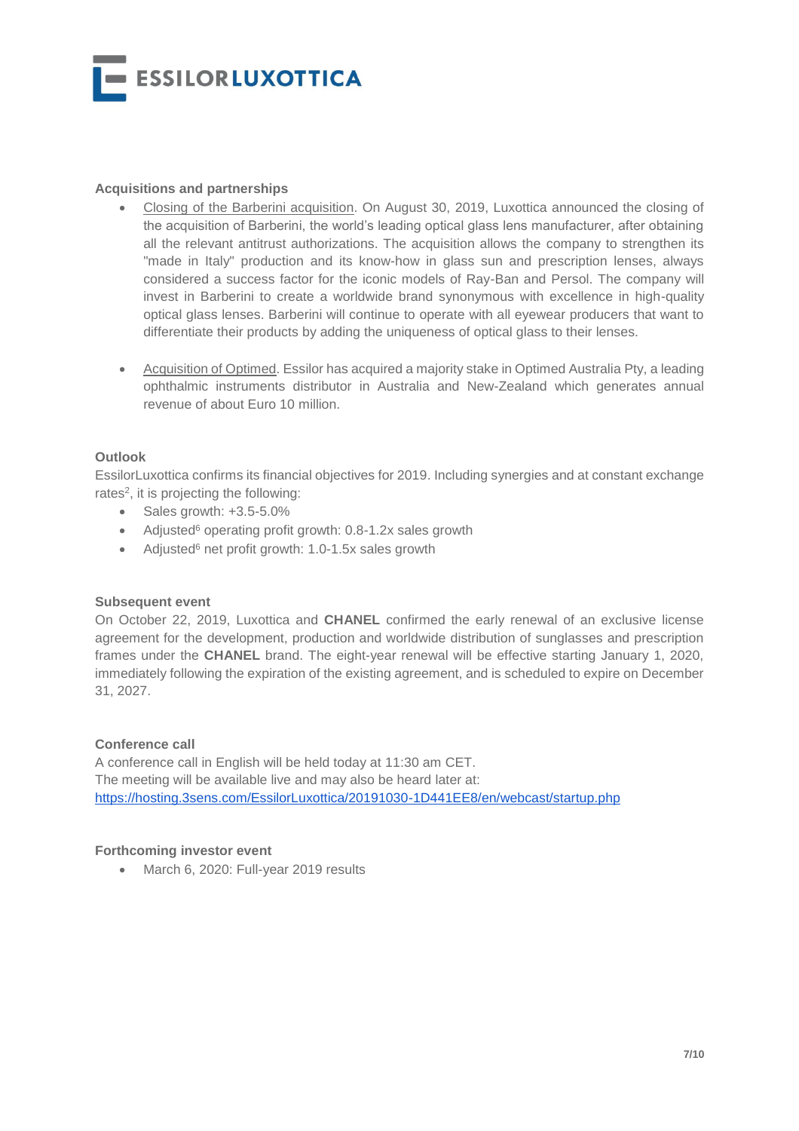**ESSILORLUXOTTICA** 

### **Acquisitions and partnerships**

- Closing of the Barberini acquisition. On August 30, 2019, Luxottica announced the closing of the acquisition of Barberini, the world's leading optical glass lens manufacturer, after obtaining all the relevant antitrust authorizations. The acquisition allows the company to strengthen its "made in Italy" production and its know-how in glass sun and prescription lenses, always considered a success factor for the iconic models of Ray-Ban and Persol. The company will invest in Barberini to create a worldwide brand synonymous with excellence in high-quality optical glass lenses. Barberini will continue to operate with all eyewear producers that want to differentiate their products by adding the uniqueness of optical glass to their lenses.
- Acquisition of Optimed. Essilor has acquired a majority stake in Optimed Australia Pty, a leading ophthalmic instruments distributor in Australia and New-Zealand which generates annual revenue of about Euro 10 million.

#### **Outlook**

EssilorLuxottica confirms its financial objectives for 2019. Including synergies and at constant exchange rates<sup>2</sup>, it is projecting the following:

- $\bullet$  Sales growth:  $+3.5-5.0\%$
- Adjusted<sup>6</sup> operating profit growth: 0.8-1.2x sales growth
- Adjusted<sup>6</sup> net profit growth: 1.0-1.5x sales growth

### **Subsequent event**

On October 22, 2019, Luxottica and **CHANEL** confirmed the early renewal of an exclusive license agreement for the development, production and worldwide distribution of sunglasses and prescription frames under the **CHANEL** brand. The eight-year renewal will be effective starting January 1, 2020, immediately following the expiration of the existing agreement, and is scheduled to expire on December 31, 2027.

### **Conference call**

A conference call in English will be held today at 11:30 am CET. The meeting will be available live and may also be heard later at: <https://hosting.3sens.com/EssilorLuxottica/20191030-1D441EE8/en/webcast/startup.php>

#### **Forthcoming investor event**

• March 6, 2020: Full-year 2019 results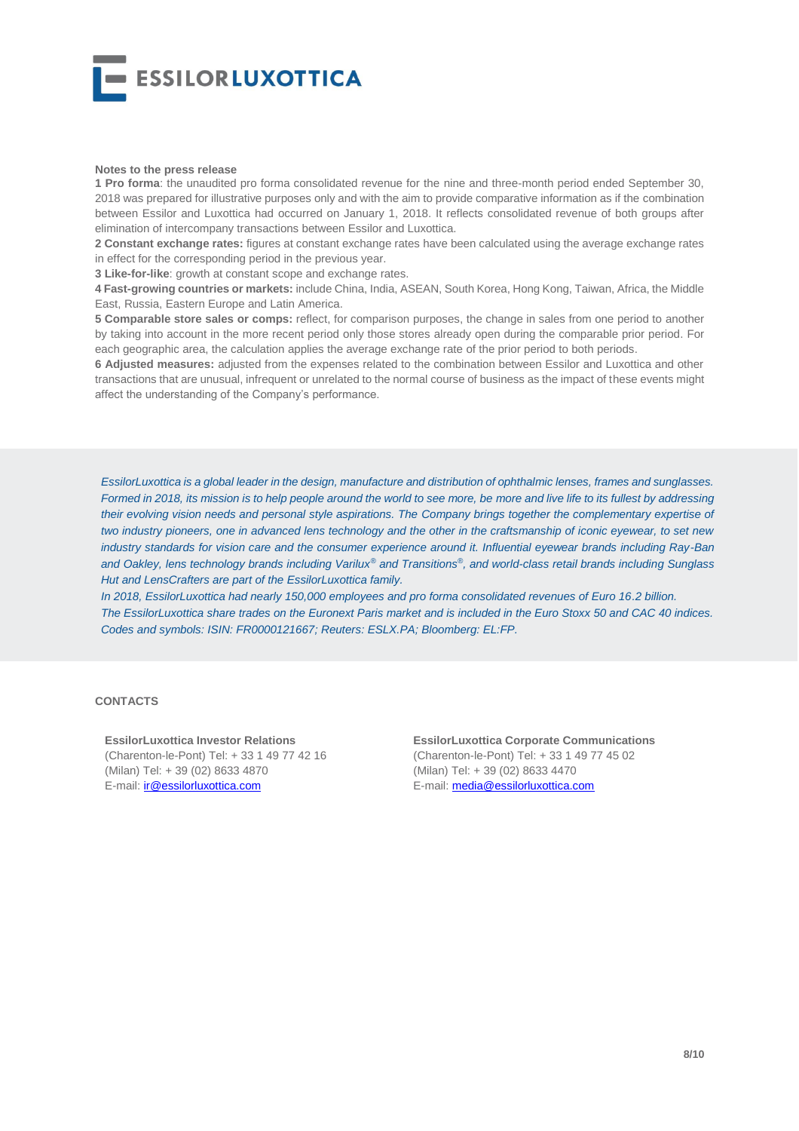

#### **Notes to the press release**

**1 Pro forma**: the unaudited pro forma consolidated revenue for the nine and three-month period ended September 30, 2018 was prepared for illustrative purposes only and with the aim to provide comparative information as if the combination between Essilor and Luxottica had occurred on January 1, 2018. It reflects consolidated revenue of both groups after elimination of intercompany transactions between Essilor and Luxottica.

**2 Constant exchange rates:** figures at constant exchange rates have been calculated using the average exchange rates in effect for the corresponding period in the previous year.

**3 Like-for-like**: growth at constant scope and exchange rates.

**4 Fast-growing countries or markets:** include China, India, ASEAN, South Korea, Hong Kong, Taiwan, Africa, the Middle East, Russia, Eastern Europe and Latin America.

**5 Comparable store sales or comps:** reflect, for comparison purposes, the change in sales from one period to another by taking into account in the more recent period only those stores already open during the comparable prior period. For each geographic area, the calculation applies the average exchange rate of the prior period to both periods.

**6 Adjusted measures:** adjusted from the expenses related to the combination between Essilor and Luxottica and other transactions that are unusual, infrequent or unrelated to the normal course of business as the impact of these events might affect the understanding of the Company's performance.

*EssilorLuxottica is a global leader in the design, manufacture and distribution of ophthalmic lenses, frames and sunglasses. Formed in 2018, its mission is to help people around the world to see more, be more and live life to its fullest by addressing their evolving vision needs and personal style aspirations. The Company brings together the complementary expertise of two industry pioneers, one in advanced lens technology and the other in the craftsmanship of iconic eyewear, to set new industry standards for vision care and the consumer experience around it. Influential eyewear brands including Ray-Ban and Oakley, lens technology brands including Varilux® and Transitions®, and world-class retail brands including Sunglass Hut and LensCrafters are part of the EssilorLuxottica family.*

*In 2018, EssilorLuxottica had nearly 150,000 employees and pro forma consolidated revenues of Euro 16.2 billion. The EssilorLuxottica share trades on the Euronext Paris market and is included in the Euro Stoxx 50 and CAC 40 indices. Codes and symbols: ISIN: FR0000121667; Reuters: ESLX.PA; Bloomberg: EL:FP.* 

#### **CONTACTS**

**EssilorLuxottica Investor Relations** (Charenton-le-Pont) Tel: + 33 1 49 77 42 16 (Milan) Tel: + 39 (02) 8633 4870 E-mail: [ir@essilorluxottica.com](mailto:ir@essilorluxottica.com)

**EssilorLuxottica Corporate Communications** (Charenton-le-Pont) Tel: + 33 1 49 77 45 02 (Milan) Tel: + 39 (02) 8633 4470 E-mail: [media@essilorluxottica.com](mailto:media@essilorluxottica.com)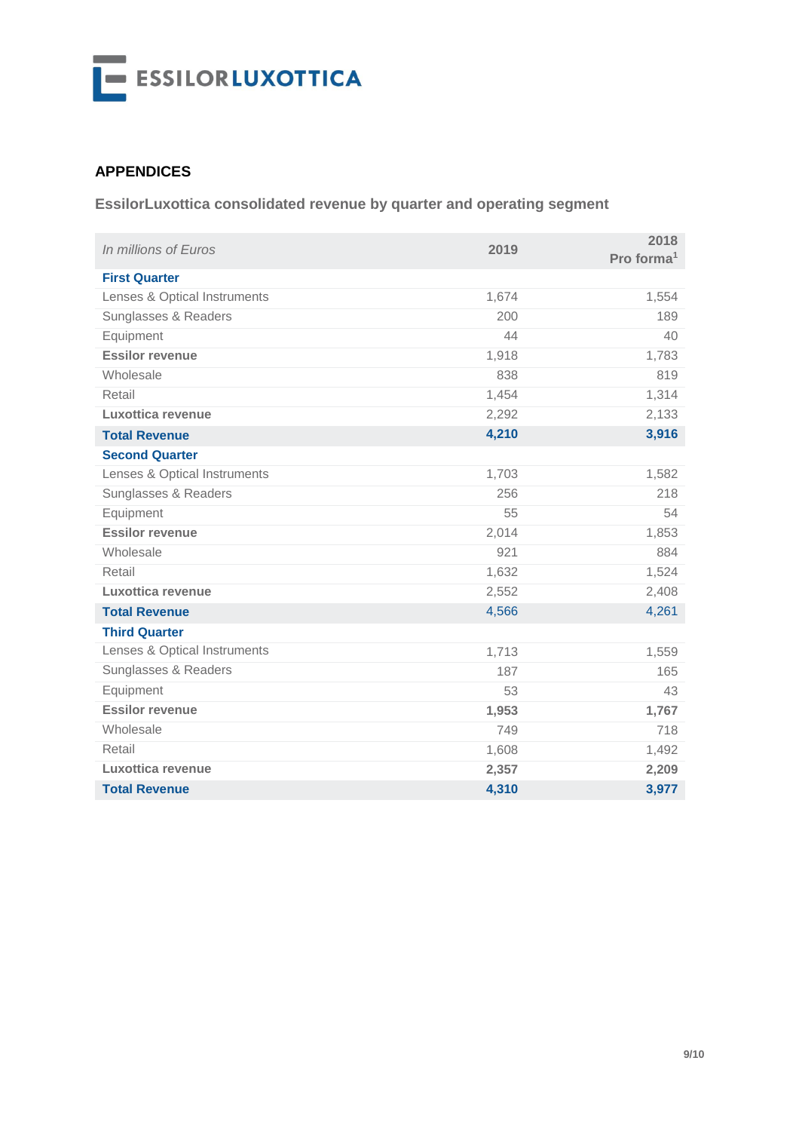

## **APPENDICES**

**EssilorLuxottica consolidated revenue by quarter and operating segment** 

| In millions of Euros         | 2019  | 2018<br>Pro forma <sup>1</sup> |
|------------------------------|-------|--------------------------------|
| <b>First Quarter</b>         |       |                                |
| Lenses & Optical Instruments | 1,674 | 1,554                          |
| Sunglasses & Readers         | 200   | 189                            |
| Equipment                    | 44    | 40                             |
| <b>Essilor revenue</b>       | 1,918 | 1,783                          |
| Wholesale                    | 838   | 819                            |
| Retail                       | 1,454 | 1,314                          |
| Luxottica revenue            | 2,292 | 2,133                          |
| <b>Total Revenue</b>         | 4,210 | 3,916                          |
| <b>Second Quarter</b>        |       |                                |
| Lenses & Optical Instruments | 1,703 | 1,582                          |
| Sunglasses & Readers         | 256   | 218                            |
| Equipment                    | 55    | 54                             |
| <b>Essilor revenue</b>       | 2,014 | 1,853                          |
| Wholesale                    | 921   | 884                            |
| Retail                       | 1,632 | 1,524                          |
| Luxottica revenue            | 2,552 | 2,408                          |
| <b>Total Revenue</b>         | 4,566 | 4,261                          |
| <b>Third Quarter</b>         |       |                                |
| Lenses & Optical Instruments | 1,713 | 1,559                          |
| Sunglasses & Readers         | 187   | 165                            |
| Equipment                    | 53    | 43                             |
| <b>Essilor revenue</b>       | 1,953 | 1,767                          |
| Wholesale                    | 749   | 718                            |
| Retail                       | 1,608 | 1,492                          |
| Luxottica revenue            | 2,357 | 2,209                          |
| <b>Total Revenue</b>         | 4,310 | 3,977                          |